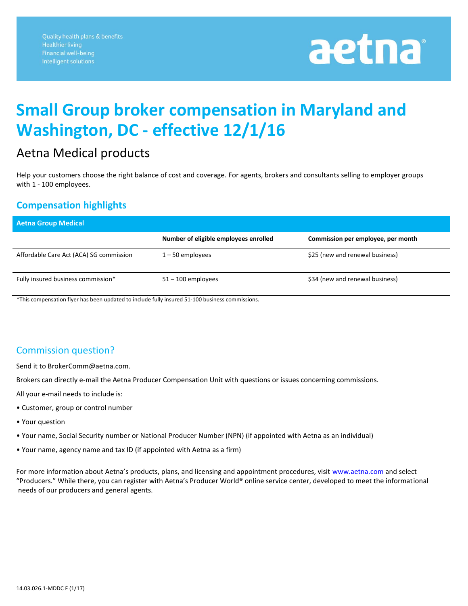# aetna

### **Small Group broker compensation in Maryland and Washington, DC - effective 12/1/16**

#### Aetna Medical products

Help your customers choose the right balance of cost and coverage. For agents, brokers and consultants selling to employer groups with 1 - 100 employees.

#### **Compensation highlights**

| <b>Aetna Group Medical</b>              |                                       |                                    |
|-----------------------------------------|---------------------------------------|------------------------------------|
|                                         | Number of eligible employees enrolled | Commission per employee, per month |
| Affordable Care Act (ACA) SG commission | $1 - 50$ employees                    | \$25 (new and renewal business)    |
| Fully insured business commission*      | $51 - 100$ employees                  | \$34 (new and renewal business)    |

\*This compensation flyer has been updated to include fully insured 51-100 business commissions.

#### Commission question?

Send it to BrokerComm@aetna.com.

Brokers can directly e-mail the Aetna Producer Compensation Unit with questions or issues concerning commissions.

All your e-mail needs to include is:

- Customer, group or control number
- Your question
- Your name, Social Security number or National Producer Number (NPN) (if appointed with Aetna as an individual)
- Your name, agency name and tax ID (if appointed with Aetna as a firm)

For more information about Aetna's products, plans, and licensing and appointment procedures, visit [www.aetna.com](http://www.aetna.com/) and select "Producers." While there, you can register with Aetna's Producer World® online service center, developed to meet the informational needs of our producers and general agents.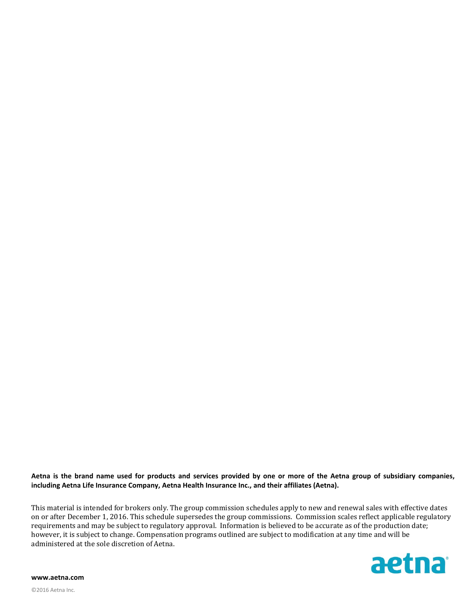**Aetna is the brand name used for products and services provided by one or more of the Aetna group of subsidiary companies, including Aetna Life Insurance Company, Aetna Health Insurance Inc., and their affiliates (Aetna).**

This material is intended for brokers only. The group commission schedules apply to new and renewal sales with effective dates on or after December 1, 2016. This schedule supersedes the group commissions. Commission scales reflect applicable regulatory requirements and may be subject to regulatory approval. Information is believed to be accurate as of the production date; however, it is subject to change. Compensation programs outlined are subject to modification at any time and will be administered at the sole discretion of Aetna.



**www.aetna.com**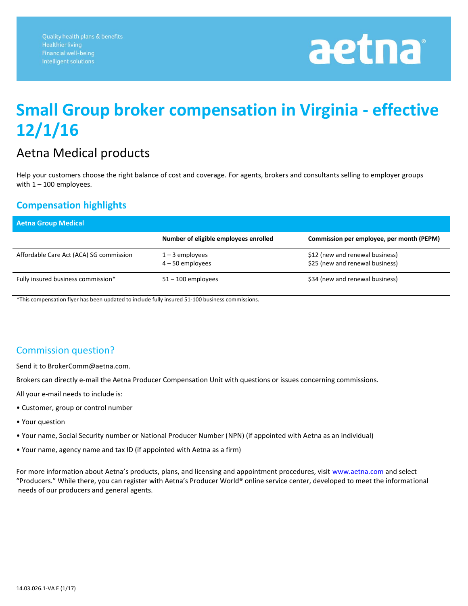# aetna

### **Small Group broker compensation in Virginia - effective 12/1/16**

#### Aetna Medical products

Help your customers choose the right balance of cost and coverage. For agents, brokers and consultants selling to employer groups with  $1 - 100$  employees.

#### **Compensation highlights**

| <b>Aetna Group Medical</b>              |                                         |                                                                    |
|-----------------------------------------|-----------------------------------------|--------------------------------------------------------------------|
|                                         | Number of eligible employees enrolled   | Commission per employee, per month (PEPM)                          |
| Affordable Care Act (ACA) SG commission | $1 - 3$ employees<br>$4 - 50$ employees | \$12 (new and renewal business)<br>\$25 (new and renewal business) |
| Fully insured business commission*      | $51 - 100$ employees                    | \$34 (new and renewal business)                                    |

\*This compensation flyer has been updated to include fully insured 51-100 business commissions.

#### Commission question?

Send it to BrokerComm@aetna.com.

Brokers can directly e-mail the Aetna Producer Compensation Unit with questions or issues concerning commissions.

All your e-mail needs to include is:

- Customer, group or control number
- Your question
- Your name, Social Security number or National Producer Number (NPN) (if appointed with Aetna as an individual)
- Your name, agency name and tax ID (if appointed with Aetna as a firm)

For more information about Aetna's products, plans, and licensing and appointment procedures, visit [www.aetna.com](http://www.aetna.com/) and select "Producers." While there, you can register with Aetna's Producer World® online service center, developed to meet the informational needs of our producers and general agents.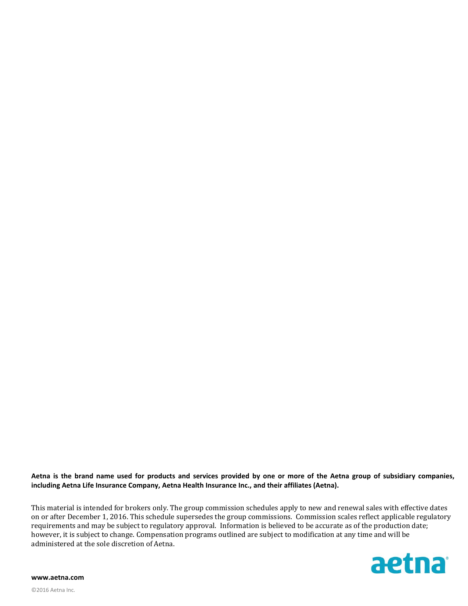**Aetna is the brand name used for products and services provided by one or more of the Aetna group of subsidiary companies, including Aetna Life Insurance Company, Aetna Health Insurance Inc., and their affiliates (Aetna).**

This material is intended for brokers only. The group commission schedules apply to new and renewal sales with effective dates on or after December 1, 2016. This schedule supersedes the group commissions. Commission scales reflect applicable regulatory requirements and may be subject to regulatory approval. Information is believed to be accurate as of the production date; however, it is subject to change. Compensation programs outlined are subject to modification at any time and will be administered at the sole discretion of Aetna.



**www.aetna.com**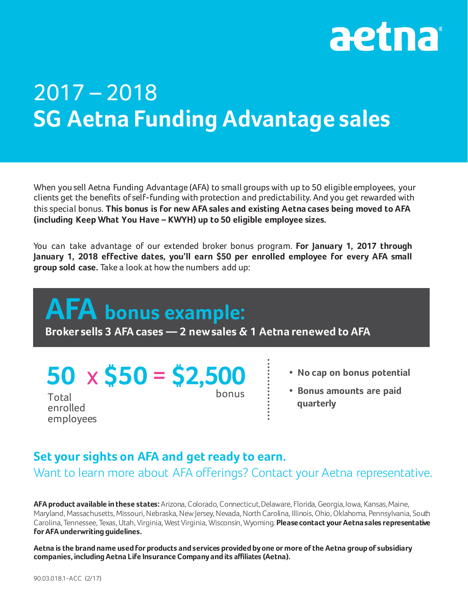

## 2017 – 2018 **SG Aetna Funding Advantage sales**

When you sell Aetna Funding Advantage (AFA) to small groups with up to 50 eligible employees, your clients get the benefits of self-funding with protection and predictability. And you get rewarded with this special bonus. **This bonus is for new AFA sales and existing Aetna cases being moved to AFA (including Keep What You Have – KWYH) up to 50 eligible employee sizes.**

You can take advantage of our extended broker bonus program. **For January 1, 2017 through January 1, 2018 effective dates, you'll earn \$50 per enrolled employee for every AFA small group sold case.** Take a look at howthe numbers add up:

## **AFA bonus example: Broker sells 3 AFA cases — 2 newsales & 1 Aetna renewed to AFA**

## **50** x **\$50** = **\$2,500**

bonus

- **• No cap on bonus potential**
- **• Bonus amounts are paid quarterly**

#### **Set your sights on AFA and get ready to earn.**

Want to learn more about AFA offerings? Contact your Aetna representative.

**AFA product available in these states:** Arizona, Colorado, Connecticut,Delaware, Florida, Georgia, Iowa, Kansas, Maine, Maryland, Massachusetts, Missouri, Nebraska, NewJersey, Nevada, North Carolina, Illinois, Ohio, Oklahoma, Pennsylvania, South Carolina, Tennessee, Texas, Utah, Virginia, WestVirginia, Wisconsin, Wyoming. **Please contact your Aetna sales representative for AFA underwriting guidelines.**

**Aetna is the brand name used for products and services provided byone or more ofthe Aetna group of subsidiary companies, including Aetna Life Insurance Companyand its affiliates (Aetna).**

**Total** enrolled employees